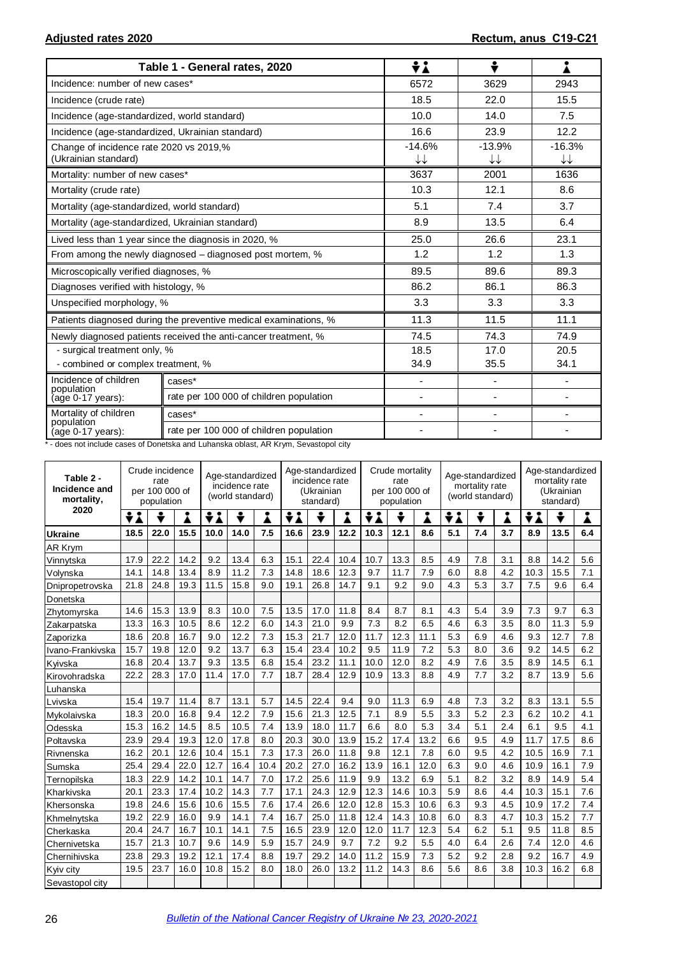|                                                                 | Table 1 - General rates, 2020                                    | ÷λ                       | ÷                        |                |
|-----------------------------------------------------------------|------------------------------------------------------------------|--------------------------|--------------------------|----------------|
| Incidence: number of new cases*                                 |                                                                  | 6572                     | 3629                     | 2943           |
| Incidence (crude rate)                                          |                                                                  | 18.5                     | 22.0                     | 15.5           |
| Incidence (age-standardized, world standard)                    |                                                                  | 10.0                     | 14.0                     | 7.5            |
| Incidence (age-standardized, Ukrainian standard)                |                                                                  | 16.6                     | 23.9                     | 12.2           |
| Change of incidence rate 2020 vs 2019,%<br>(Ukrainian standard) |                                                                  | $-14.6%$<br>↓↓           | $-13.9%$<br>↓↓           | $-16.3%$<br>↓↓ |
| Mortality: number of new cases*                                 |                                                                  | 3637                     | 2001                     | 1636           |
| Mortality (crude rate)                                          |                                                                  | 10.3                     | 12.1                     | 8.6            |
| Mortality (age-standardized, world standard)                    |                                                                  | 5.1                      | 7.4                      | 3.7            |
| Mortality (age-standardized, Ukrainian standard)                |                                                                  | 8.9                      | 13.5                     | 6.4            |
|                                                                 | Lived less than 1 year since the diagnosis in 2020, %            | 25.0                     | 26.6                     | 23.1           |
|                                                                 | From among the newly diagnosed – diagnosed post mortem, %        | 1.2                      | 1.2                      | 1.3            |
| Microscopically verified diagnoses, %                           |                                                                  | 89.5                     | 89.6                     | 89.3           |
| Diagnoses verified with histology, %                            |                                                                  | 86.2                     | 86.1                     | 86.3           |
| Unspecified morphology, %                                       |                                                                  | 3.3                      | 3.3                      | 3.3            |
|                                                                 | Patients diagnosed during the preventive medical examinations, % | 11.3                     | 11.5                     | 11.1           |
|                                                                 | Newly diagnosed patients received the anti-cancer treatment, %   | 74.5                     | 74.3                     | 74.9           |
| - surgical treatment only, %                                    |                                                                  | 18.5                     | 17.0                     | 20.5           |
| - combined or complex treatment, %                              |                                                                  | 34.9                     | 35.5                     | 34.1           |
| Incidence of children<br>population                             | cases*                                                           | ٠                        | $\overline{\phantom{a}}$ |                |
| (age 0-17 years):                                               | rate per 100 000 of children population                          | -                        | $\overline{\phantom{a}}$ |                |
| Mortality of children<br>population                             | cases*                                                           | $\overline{\phantom{0}}$ | $\overline{\phantom{m}}$ |                |
| (age 0-17 years):                                               | rate per 100 000 of children population                          |                          |                          |                |

\* - does not include cases of Donetska and Luhanska oblast, AR Krym, Sevastopol city

| Table 2 -<br>Incidence and<br>mortality, |      | Crude incidence<br>rate<br>per 100 000 of<br>population |      |      | Age-standardized<br>incidence rate<br>(world standard) |      |      | Age-standardized<br>incidence rate<br>(Ukrainian<br>standard) |      |        | Crude mortality<br>rate<br>per 100 000 of<br>population |      |        | Age-standardized<br>mortality rate<br>(world standard) |     |      | Age-standardized<br>mortality rate<br>(Ukrainian<br>standard) |     |  |
|------------------------------------------|------|---------------------------------------------------------|------|------|--------------------------------------------------------|------|------|---------------------------------------------------------------|------|--------|---------------------------------------------------------|------|--------|--------------------------------------------------------|-----|------|---------------------------------------------------------------|-----|--|
| 2020                                     | ÷    |                                                         | Á    | ÷λ   | ÷                                                      | Å    | ÷    |                                                               | Ã    | ÷<br>Â |                                                         |      | ÷<br>Â | ÷                                                      | Â   | ÷    |                                                               | Å   |  |
| <b>Ukraine</b>                           | 18.5 | 22.0                                                    | 15.5 | 10.0 | 14.0                                                   | 7.5  | 16.6 | 23.9                                                          | 12.2 | 10.3   | 12.1                                                    | 8.6  | 5.1    | 7.4                                                    | 3.7 | 8.9  | 13.5                                                          | 6.4 |  |
| AR Krym                                  |      |                                                         |      |      |                                                        |      |      |                                                               |      |        |                                                         |      |        |                                                        |     |      |                                                               |     |  |
| Vinnytska                                | 17.9 | 22.2                                                    | 14.2 | 9.2  | 13.4                                                   | 6.3  | 15.1 | 22.4                                                          | 10.4 | 10.7   | 13.3                                                    | 8.5  | 4.9    | 7.8                                                    | 3.1 | 8.8  | 14.2                                                          | 5.6 |  |
| Volynska                                 | 14.1 | 14.8                                                    | 13.4 | 8.9  | 11.2                                                   | 7.3  | 14.8 | 18.6                                                          | 12.3 | 9.7    | 11.7                                                    | 7.9  | 6.0    | 8.8                                                    | 4.2 | 10.3 | 15.5                                                          | 7.1 |  |
| Dnipropetrovska                          | 21.8 | 24.8                                                    | 19.3 | 11.5 | 15.8                                                   | 9.0  | 19.1 | 26.8                                                          | 14.7 | 9.1    | 9.2                                                     | 9.0  | 4.3    | 5.3                                                    | 3.7 | 7.5  | 9.6                                                           | 6.4 |  |
| Donetska                                 |      |                                                         |      |      |                                                        |      |      |                                                               |      |        |                                                         |      |        |                                                        |     |      |                                                               |     |  |
| Zhytomyrska                              | 14.6 | 15.3                                                    | 13.9 | 8.3  | 10.0                                                   | 7.5  | 13.5 | 17.0                                                          | 11.8 | 8.4    | 8.7                                                     | 8.1  | 4.3    | 5.4                                                    | 3.9 | 7.3  | 9.7                                                           | 6.3 |  |
| Zakarpatska                              | 13.3 | 16.3                                                    | 10.5 | 8.6  | 12.2                                                   | 6.0  | 14.3 | 21.0                                                          | 9.9  | 7.3    | 8.2                                                     | 6.5  | 4.6    | 6.3                                                    | 3.5 | 8.0  | 11.3                                                          | 5.9 |  |
| Zaporizka                                | 18.6 | 20.8                                                    | 16.7 | 9.0  | 12.2                                                   | 7.3  | 15.3 | 21.7                                                          | 12.0 | 11.7   | 12.3                                                    | 11.1 | 5.3    | 6.9                                                    | 4.6 | 9.3  | 12.7                                                          | 7.8 |  |
| Ivano-Frankivska                         | 15.7 | 19.8                                                    | 12.0 | 9.2  | 13.7                                                   | 6.3  | 15.4 | 23.4                                                          | 10.2 | 9.5    | 11.9                                                    | 7.2  | 5.3    | 8.0                                                    | 3.6 | 9.2  | 14.5                                                          | 6.2 |  |
| Kvivska                                  | 16.8 | 20.4                                                    | 13.7 | 9.3  | 13.5                                                   | 6.8  | 15.4 | 23.2                                                          | 11.1 | 10.0   | 12.0                                                    | 8.2  | 4.9    | 7.6                                                    | 3.5 | 8.9  | 14.5                                                          | 6.1 |  |
| Kirovohradska                            | 22.2 | 28.3                                                    | 17.0 | 11.4 | 17.0                                                   | 7.7  | 18.7 | 28.4                                                          | 12.9 | 10.9   | 13.3                                                    | 8.8  | 4.9    | 7.7                                                    | 3.2 | 8.7  | 13.9                                                          | 5.6 |  |
| Luhanska                                 |      |                                                         |      |      |                                                        |      |      |                                                               |      |        |                                                         |      |        |                                                        |     |      |                                                               |     |  |
| Lvivska                                  | 15.4 | 19.7                                                    | 11.4 | 8.7  | 13.1                                                   | 5.7  | 14.5 | 22.4                                                          | 9.4  | 9.0    | 11.3                                                    | 6.9  | 4.8    | 7.3                                                    | 3.2 | 8.3  | 13.1                                                          | 5.5 |  |
| Mykolaivska                              | 18.3 | 20.0                                                    | 16.8 | 9.4  | 12.2                                                   | 7.9  | 15.6 | 21.3                                                          | 12.5 | 7.1    | 8.9                                                     | 5.5  | 3.3    | 5.2                                                    | 2.3 | 6.2  | 10.2                                                          | 4.1 |  |
| Odesska                                  | 15.3 | 16.2                                                    | 14.5 | 8.5  | 10.5                                                   | 7.4  | 13.9 | 18.0                                                          | 11.7 | 6.6    | 8.0                                                     | 5.3  | 3.4    | 5.1                                                    | 2.4 | 6.1  | 9.5                                                           | 4.1 |  |
| Poltavska                                | 23.9 | 29.4                                                    | 19.3 | 12.0 | 17.8                                                   | 8.0  | 20.3 | 30.0                                                          | 13.9 | 15.2   | 17.4                                                    | 13.2 | 6.6    | 9.5                                                    | 4.9 | 11.7 | 17.5                                                          | 8.6 |  |
| Rivnenska                                | 16.2 | 20.1                                                    | 12.6 | 10.4 | 15.1                                                   | 7.3  | 17.3 | 26.0                                                          | 11.8 | 9.8    | 12.1                                                    | 7.8  | 6.0    | 9.5                                                    | 4.2 | 10.5 | 16.9                                                          | 7.1 |  |
| Sumska                                   | 25.4 | 29.4                                                    | 22.0 | 12.7 | 16.4                                                   | 10.4 | 20.2 | 27.0                                                          | 16.2 | 13.9   | 16.1                                                    | 12.0 | 6.3    | 9.0                                                    | 4.6 | 10.9 | 16.1                                                          | 7.9 |  |
| Ternopilska                              | 18.3 | 22.9                                                    | 14.2 | 10.1 | 14.7                                                   | 7.0  | 17.2 | 25.6                                                          | 11.9 | 9.9    | 13.2                                                    | 6.9  | 5.1    | 8.2                                                    | 3.2 | 8.9  | 14.9                                                          | 5.4 |  |
| Kharkivska                               | 20.1 | 23.3                                                    | 17.4 | 10.2 | 14.3                                                   | 7.7  | 17.1 | 24.3                                                          | 12.9 | 12.3   | 14.6                                                    | 10.3 | 5.9    | 8.6                                                    | 4.4 | 10.3 | 15.1                                                          | 7.6 |  |
| Khersonska                               | 19.8 | 24.6                                                    | 15.6 | 10.6 | 15.5                                                   | 7.6  | 17.4 | 26.6                                                          | 12.0 | 12.8   | 15.3                                                    | 10.6 | 6.3    | 9.3                                                    | 4.5 | 10.9 | 17.2                                                          | 7.4 |  |
| Khmelnytska                              | 19.2 | 22.9                                                    | 16.0 | 9.9  | 14.1                                                   | 7.4  | 16.7 | 25.0                                                          | 11.8 | 12.4   | 14.3                                                    | 10.8 | 6.0    | 8.3                                                    | 4.7 | 10.3 | 15.2                                                          | 7.7 |  |
| Cherkaska                                | 20.4 | 24.7                                                    | 16.7 | 10.1 | 14.1                                                   | 7.5  | 16.5 | 23.9                                                          | 12.0 | 12.0   | 11.7                                                    | 12.3 | 5.4    | 6.2                                                    | 5.1 | 9.5  | 11.8                                                          | 8.5 |  |
| Chernivetska                             | 15.7 | 21.3                                                    | 10.7 | 9.6  | 14.9                                                   | 5.9  | 15.7 | 24.9                                                          | 9.7  | 7.2    | 9.2                                                     | 5.5  | 4.0    | 6.4                                                    | 2.6 | 7.4  | 12.0                                                          | 4.6 |  |
| Chernihivska                             | 23.8 | 29.3                                                    | 19.2 | 12.1 | 17.4                                                   | 8.8  | 19.7 | 29.2                                                          | 14.0 | 11.2   | 15.9                                                    | 7.3  | 5.2    | 9.2                                                    | 2.8 | 9.2  | 16.7                                                          | 4.9 |  |
| Kyiv city                                | 19.5 | 23.7                                                    | 16.0 | 10.8 | 15.2                                                   | 8.0  | 18.0 | 26.0                                                          | 13.2 | 11.2   | 14.3                                                    | 8.6  | 5.6    | 8.6                                                    | 3.8 | 10.3 | 16.2                                                          | 6.8 |  |
| Sevastopol city                          |      |                                                         |      |      |                                                        |      |      |                                                               |      |        |                                                         |      |        |                                                        |     |      |                                                               |     |  |